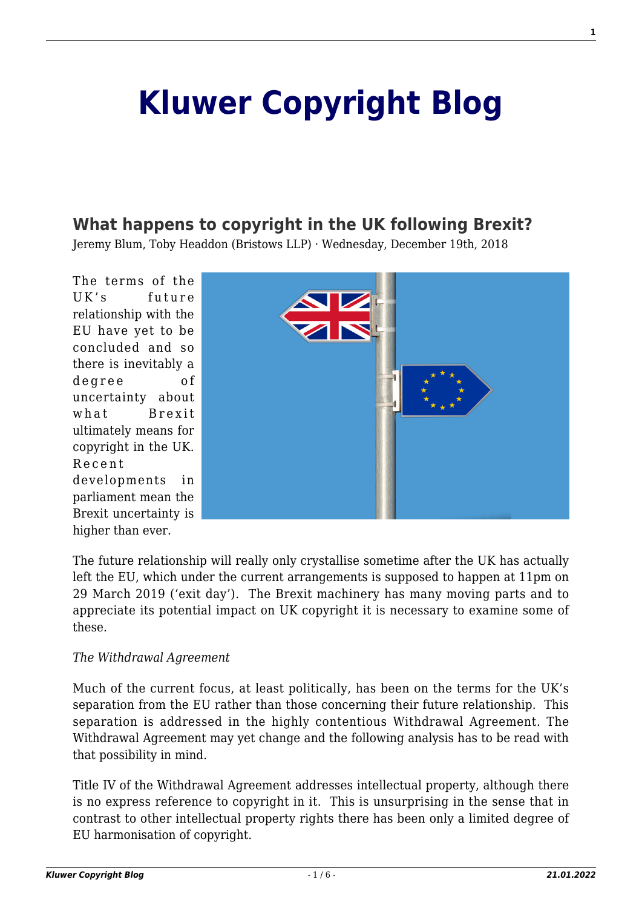# **[Kluwer Copyright Blog](http://copyrightblog.kluweriplaw.com/)**

# **[What happens to copyright in the UK following Brexit?](http://copyrightblog.kluweriplaw.com/2018/12/19/what-happens-to-copyright-in-the-uk-following-brexit/)**

Jeremy Blum, Toby Headdon (Bristows LLP) · Wednesday, December 19th, 2018

The terms of the UK's future relationship with the EU have yet to be concluded and so there is inevitably a degree of uncertainty about what Brexit ultimately means for copyright in the UK. Recent developments in parliament mean the Brexit uncertainty is higher than ever.



The future relationship will really only crystallise sometime after the UK has actually left the EU, which under the current arrangements is supposed to happen at 11pm on 29 March 2019 ('exit day'). The Brexit machinery has many moving parts and to appreciate its potential impact on UK copyright it is necessary to examine some of these.

#### *The Withdrawal Agreement*

Much of the current focus, at least politically, has been on the terms for the UK's separation from the EU rather than those concerning their future relationship. This separation is addressed in the highly contentious Withdrawal Agreement. The Withdrawal Agreement may yet change and the following analysis has to be read with that possibility in mind.

Title IV of the Withdrawal Agreement addresses intellectual property, although there is no express reference to copyright in it. This is unsurprising in the sense that in contrast to other intellectual property rights there has been only a limited degree of EU harmonisation of copyright.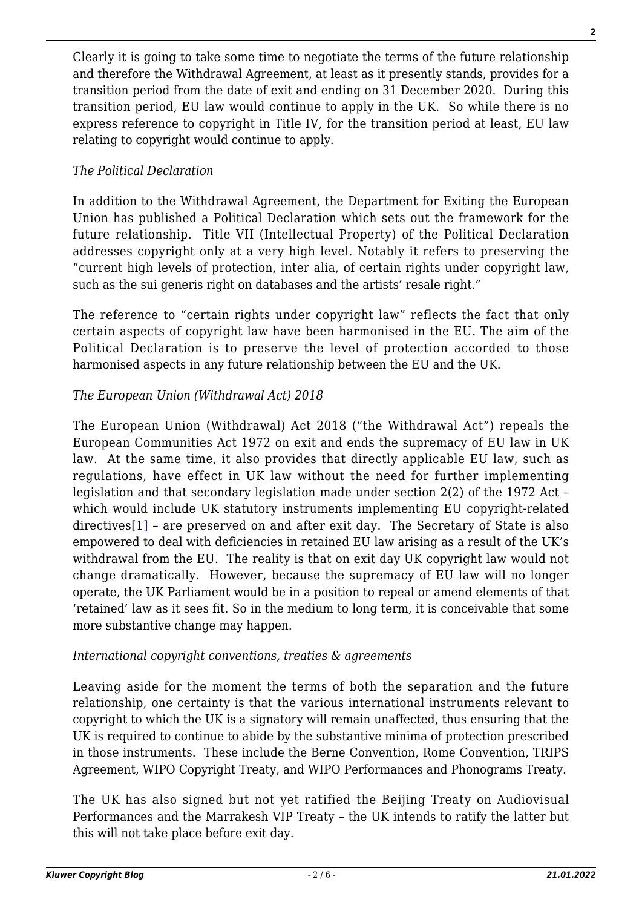Clearly it is going to take some time to negotiate the terms of the future relationship and therefore the Withdrawal Agreement, at least as it presently stands, provides for a transition period from the date of exit and ending on 31 December 2020. During this transition period, EU law would continue to apply in the UK. So while there is no express reference to copyright in Title IV, for the transition period at least, EU law relating to copyright would continue to apply.

# *The Political Declaration*

In addition to the Withdrawal Agreement, the Department for Exiting the European Union has published a Political Declaration which sets out the framework for the future relationship. Title VII (Intellectual Property) of the Political Declaration addresses copyright only at a very high level. Notably it refers to preserving the "current high levels of protection, inter alia, of certain rights under copyright law, such as the sui generis right on databases and the artists' resale right."

The reference to "certain rights under copyright law" reflects the fact that only certain aspects of copyright law have been harmonised in the EU. The aim of the Political Declaration is to preserve the level of protection accorded to those harmonised aspects in any future relationship between the EU and the UK.

# *The European Union (Withdrawal Act) 2018*

<span id="page-1-0"></span>The European Union (Withdrawal) Act 2018 ("the Withdrawal Act") repeals the European Communities Act 1972 on exit and ends the supremacy of EU law in UK law. At the same time, it also provides that directly applicable EU law, such as regulations, have effect in UK law without the need for further implementing legislation and that secondary legislation made under section 2(2) of the 1972 Act – which would include UK statutory instruments implementing EU copyright-related directives[\[1\]](#page-4-0) – are preserved on and after exit day. The Secretary of State is also empowered to deal with deficiencies in retained EU law arising as a result of the UK's withdrawal from the EU. The reality is that on exit day UK copyright law would not change dramatically. However, because the supremacy of EU law will no longer operate, the UK Parliament would be in a position to repeal or amend elements of that 'retained' law as it sees fit. So in the medium to long term, it is conceivable that some more substantive change may happen.

# *International copyright conventions, treaties & agreements*

Leaving aside for the moment the terms of both the separation and the future relationship, one certainty is that the various international instruments relevant to copyright to which the UK is a signatory will remain unaffected, thus ensuring that the UK is required to continue to abide by the substantive minima of protection prescribed in those instruments. These include the Berne Convention, Rome Convention, TRIPS Agreement, WIPO Copyright Treaty, and WIPO Performances and Phonograms Treaty.

The UK has also signed but not yet ratified the Beijing Treaty on Audiovisual Performances and the Marrakesh VIP Treaty – the UK intends to ratify the latter but this will not take place before exit day.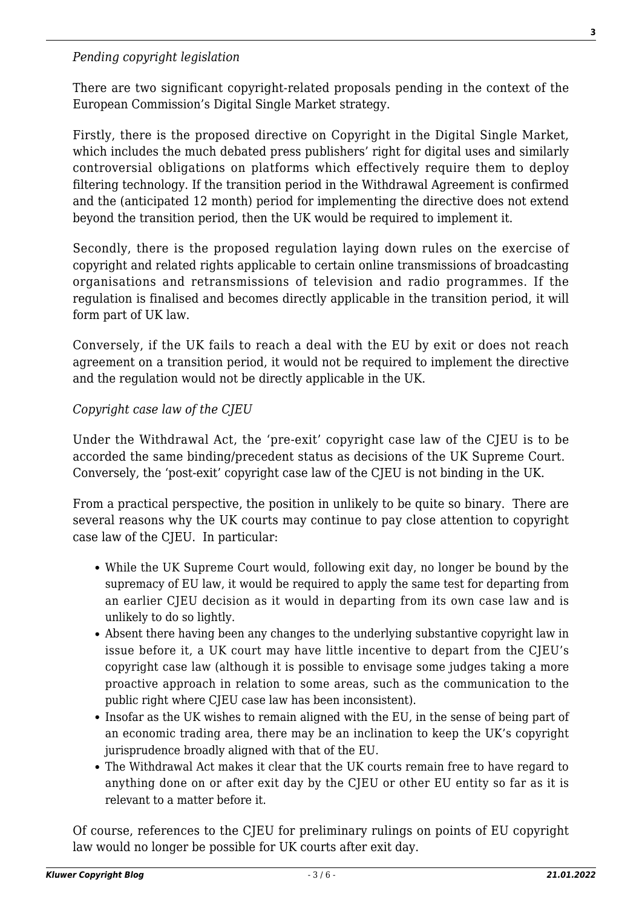#### *Pending copyright legislation*

There are two significant copyright-related proposals pending in the context of the European Commission's Digital Single Market strategy.

Firstly, there is the proposed directive on Copyright in the Digital Single Market, which includes the much debated press publishers' right for digital uses and similarly controversial obligations on platforms which effectively require them to deploy filtering technology. If the transition period in the Withdrawal Agreement is confirmed and the (anticipated 12 month) period for implementing the directive does not extend beyond the transition period, then the UK would be required to implement it.

Secondly, there is the proposed regulation laying down rules on the exercise of copyright and related rights applicable to certain online transmissions of broadcasting organisations and retransmissions of television and radio programmes. If the regulation is finalised and becomes directly applicable in the transition period, it will form part of UK law.

Conversely, if the UK fails to reach a deal with the EU by exit or does not reach agreement on a transition period, it would not be required to implement the directive and the regulation would not be directly applicable in the UK.

#### *Copyright case law of the CJEU*

Under the Withdrawal Act, the 'pre-exit' copyright case law of the CJEU is to be accorded the same binding/precedent status as decisions of the UK Supreme Court. Conversely, the 'post-exit' copyright case law of the CJEU is not binding in the UK.

From a practical perspective, the position in unlikely to be quite so binary. There are several reasons why the UK courts may continue to pay close attention to copyright case law of the CJEU. In particular:

- While the UK Supreme Court would, following exit day, no longer be bound by the supremacy of EU law, it would be required to apply the same test for departing from an earlier CJEU decision as it would in departing from its own case law and is unlikely to do so lightly.
- Absent there having been any changes to the underlying substantive copyright law in issue before it, a UK court may have little incentive to depart from the CJEU's copyright case law (although it is possible to envisage some judges taking a more proactive approach in relation to some areas, such as the communication to the public right where CJEU case law has been inconsistent).
- Insofar as the UK wishes to remain aligned with the EU, in the sense of being part of an economic trading area, there may be an inclination to keep the UK's copyright jurisprudence broadly aligned with that of the EU.
- The Withdrawal Act makes it clear that the UK courts remain free to have regard to anything done on or after exit day by the CJEU or other EU entity so far as it is relevant to a matter before it.

Of course, references to the CJEU for preliminary rulings on points of EU copyright law would no longer be possible for UK courts after exit day.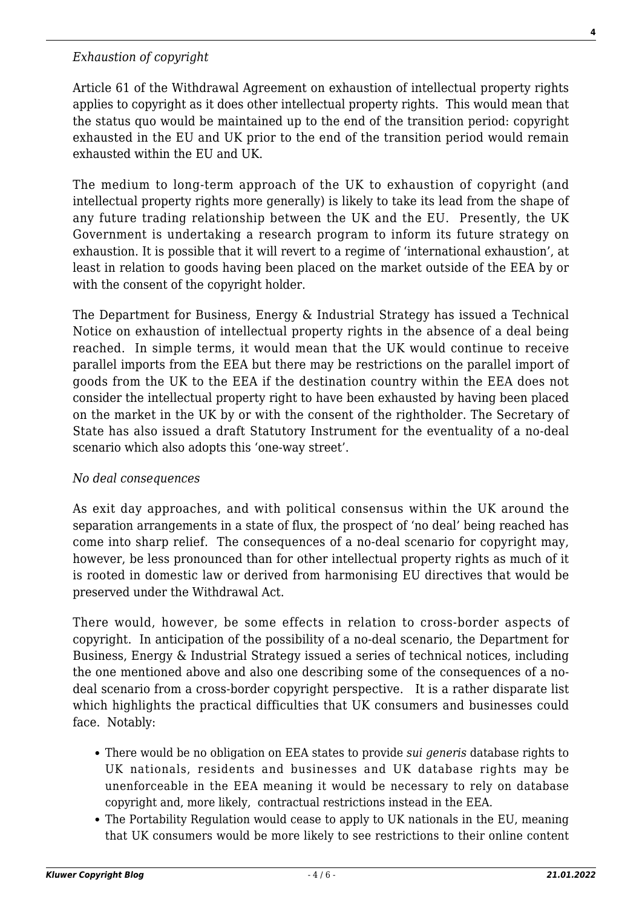#### *Exhaustion of copyright*

Article 61 of the Withdrawal Agreement on exhaustion of intellectual property rights applies to copyright as it does other intellectual property rights. This would mean that the status quo would be maintained up to the end of the transition period: copyright exhausted in the EU and UK prior to the end of the transition period would remain exhausted within the EU and UK.

The medium to long-term approach of the UK to exhaustion of copyright (and intellectual property rights more generally) is likely to take its lead from the shape of any future trading relationship between the UK and the EU. Presently, the UK Government is undertaking a research program to inform its future strategy on exhaustion. It is possible that it will revert to a regime of 'international exhaustion', at least in relation to goods having been placed on the market outside of the EEA by or with the consent of the copyright holder.

The Department for Business, Energy & Industrial Strategy has issued a Technical Notice on exhaustion of intellectual property rights in the absence of a deal being reached. In simple terms, it would mean that the UK would continue to receive parallel imports from the EEA but there may be restrictions on the parallel import of goods from the UK to the EEA if the destination country within the EEA does not consider the intellectual property right to have been exhausted by having been placed on the market in the UK by or with the consent of the rightholder. The Secretary of State has also issued a draft Statutory Instrument for the eventuality of a no-deal scenario which also adopts this 'one-way street'.

#### *No deal consequences*

As exit day approaches, and with political consensus within the UK around the separation arrangements in a state of flux, the prospect of 'no deal' being reached has come into sharp relief. The consequences of a no-deal scenario for copyright may, however, be less pronounced than for other intellectual property rights as much of it is rooted in domestic law or derived from harmonising EU directives that would be preserved under the Withdrawal Act.

There would, however, be some effects in relation to cross-border aspects of copyright. In anticipation of the possibility of a no-deal scenario, the Department for Business, Energy & Industrial Strategy issued a series of technical notices, including the one mentioned above and also one describing some of the consequences of a nodeal scenario from a cross-border copyright perspective. It is a rather disparate list which highlights the practical difficulties that UK consumers and businesses could face. Notably:

- There would be no obligation on EEA states to provide *sui generis* database rights to UK nationals, residents and businesses and UK database rights may be unenforceable in the EEA meaning it would be necessary to rely on database copyright and, more likely, contractual restrictions instead in the EEA.
- The Portability Regulation would cease to apply to UK nationals in the EU, meaning that UK consumers would be more likely to see restrictions to their online content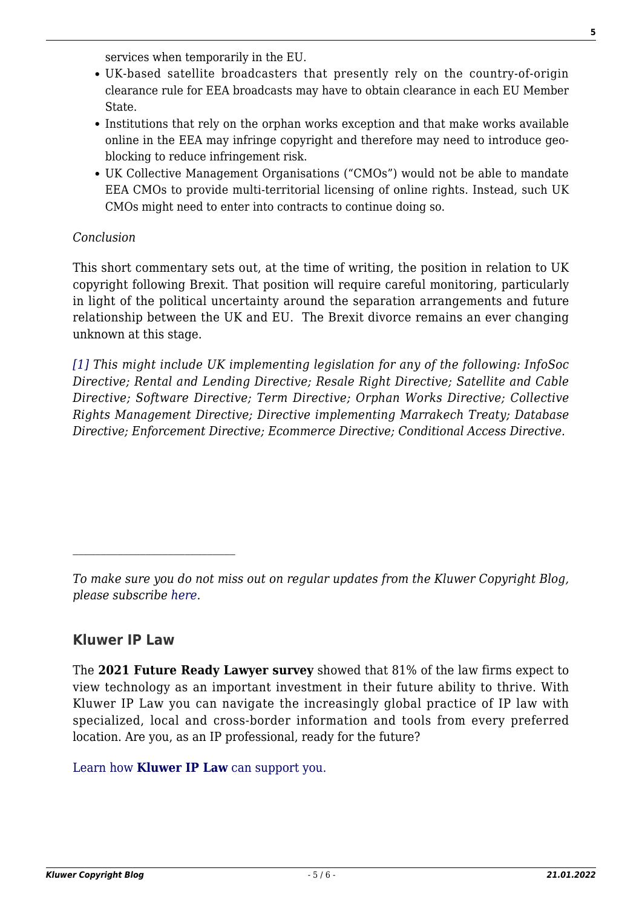services when temporarily in the EU.

- UK-based satellite broadcasters that presently rely on the country-of-origin clearance rule for EEA broadcasts may have to obtain clearance in each EU Member State.
- Institutions that rely on the orphan works exception and that make works available online in the EEA may infringe copyright and therefore may need to introduce geoblocking to reduce infringement risk.
- UK Collective Management Organisations ("CMOs") would not be able to mandate EEA CMOs to provide multi-territorial licensing of online rights. Instead, such UK CMOs might need to enter into contracts to continue doing so.

#### *Conclusion*

This short commentary sets out, at the time of writing, the position in relation to UK copyright following Brexit. That position will require careful monitoring, particularly in light of the political uncertainty around the separation arrangements and future relationship between the UK and EU. The Brexit divorce remains an ever changing unknown at this stage.

<span id="page-4-0"></span>*[\[1\]](#page-1-0) This might include UK implementing legislation for any of the following: InfoSoc Directive; Rental and Lending Directive; Resale Right Directive; Satellite and Cable Directive; Software Directive; Term Directive; Orphan Works Directive; Collective Rights Management Directive; Directive implementing Marrakech Treaty; Database Directive; Enforcement Directive; Ecommerce Directive; Conditional Access Directive.*

# **Kluwer IP Law**

 $\mathcal{L}_\text{max}$ 

The **2021 Future Ready Lawyer survey** showed that 81% of the law firms expect to view technology as an important investment in their future ability to thrive. With Kluwer IP Law you can navigate the increasingly global practice of IP law with specialized, local and cross-border information and tools from every preferred location. Are you, as an IP professional, ready for the future?

[Learn how](https://www.wolterskluwer.com/en/solutions/kluweriplaw?utm_source=copyrightnblog&utm_medium=articleCTA&utm_campaign=article-banner) **[Kluwer IP Law](https://www.wolterskluwer.com/en/solutions/kluweriplaw?utm_source=copyrightnblog&utm_medium=articleCTA&utm_campaign=article-banner)** [can support you.](https://www.wolterskluwer.com/en/solutions/kluweriplaw?utm_source=copyrightnblog&utm_medium=articleCTA&utm_campaign=article-banner)

*To make sure you do not miss out on regular updates from the Kluwer Copyright Blog, please subscribe [here.](http://copyrightblog.kluweriplaw.com/newsletter)*